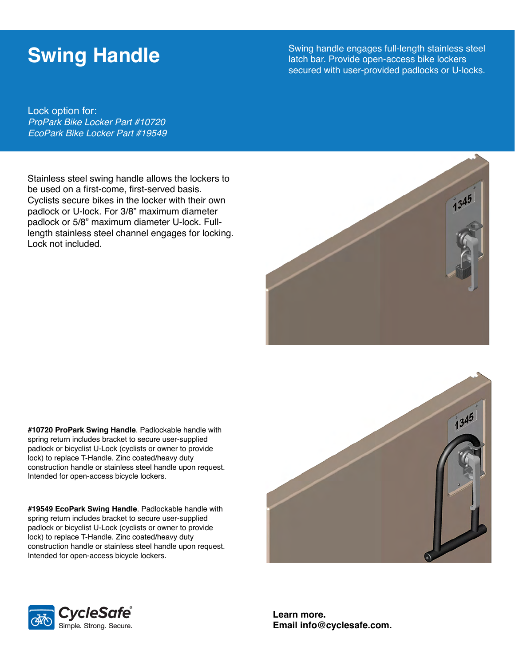## **Swing Handle**

Swing handle engages full-length stainless steel latch bar. Provide open-access bike lockers secured with user-provided padlocks or U-locks.

Lock option for: *ProPark Bike Locker Part #10720 EcoPark Bike Locker Part #19549*

Stainless steel swing handle allows the lockers to be used on a first-come, first-served basis. Cyclists secure bikes in the locker with their own padlock or U-lock. For 3/8" maximum diameter padlock or 5/8" maximum diameter U-lock. Fulllength stainless steel channel engages for locking. Lock not included.



**#10720 ProPark Swing Handle**. Padlockable handle with spring return includes bracket to secure user-supplied padlock or bicyclist U-Lock (cyclists or owner to provide lock) to replace T-Handle. Zinc coated/heavy duty construction handle or stainless steel handle upon request. Intended for open-access bicycle lockers.

**#19549 EcoPark Swing Handle**. Padlockable handle with spring return includes bracket to secure user-supplied padlock or bicyclist U-Lock (cyclists or owner to provide lock) to replace T-Handle. Zinc coated/heavy duty construction handle or stainless steel handle upon request. Intended for open-access bicycle lockers.





**Learn more. Email info@cyclesafe.com.**